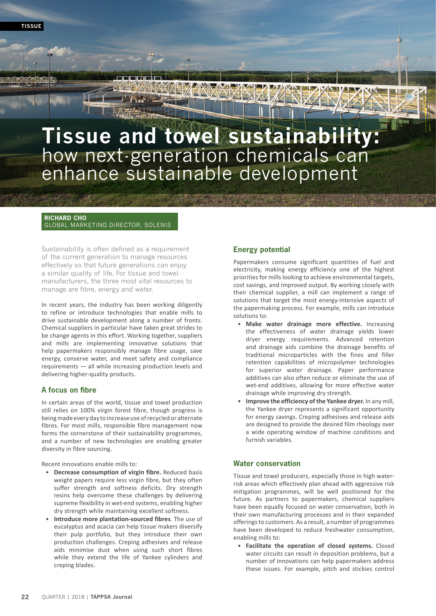# **Tissue and towel sustainability:** how next-generation chemicals can enhance sustainable development

**RICHARD CHO**  GLOBAL MARKETING DIRECTOR, SOLENIS

Sustainability is often defined as a requirement of the current generation to manage resources effectively so that future generations can enjoy a similar quality of life. For tissue and towel manufacturers, the three most vital resources to manage are fibre, energy and water.

In recent years, the industry has been working diligently to refine or introduce technologies that enable mills to drive sustainable development along a number of fronts. Chemical suppliers in particular have taken great strides to be change agents in this effort. Working together, suppliers and mills are implementing innovative solutions that help papermakers responsibly manage fibre usage, save energy, conserve water, and meet safety and compliance requirements — all while increasing production levels and delivering higher-quality products.

#### **A focus on fibre**

In certain areas of the world, tissue and towel production still relies on 100% virgin forest fibre, though progress is being made every day to increase use of recycled or alternate fibres. For most mills, responsible fibre management now forms the cornerstone of their sustainability programmes, and a number of new technologies are enabling greater diversity in fibre sourcing.

Recent innovations enable mills to:

- **Decrease consumption of virgin fibre.** Reduced basis weight papers require less virgin fibre, but they often suffer strength and softness deficits. Dry strength resins help overcome these challenges by delivering supreme flexibility in wet-end systems, enabling higher dry strength while maintaining excellent softness.
- **Introduce more plantation-sourced fibres**. The use of eucalyptus and acacia can help tissue makers diversify their pulp portfolio, but they introduce their own production challenges. Creping adhesives and release aids minimise dust when using such short fibres while they extend the life of Yankee cylinders and creping blades.

## **Energy potential**

Papermakers consume significant quantities of fuel and electricity, making energy efficiency one of the highest priorities for mills looking to achieve environmental targets, cost savings, and improved output. By working closely with their chemical supplier, a mill can implement a range of solutions that target the most energy-intensive aspects of the papermaking process. For example, mills can introduce solutions to:

- **Make water drainage more effective.** Increasing the effectiveness of water drainage yields lower dryer energy requirements. Advanced retention and drainage aids combine the drainage benefits of traditional microparticles with the fines and filler retention capabilities of micropolymer technologies for superior water drainage. Paper performance additives can also often reduce or eliminate the use of wet-end additives, allowing for more effective water drainage while improving dry strength.
- **Improve the efficiency of the Yankee dryer.** In any mill, the Yankee dryer represents a significant opportunity for energy savings. Creping adhesives and release aids are designed to provide the desired film rheology over a wide operating window of machine conditions and furnish variables.

#### **Water conservation**

Tissue and towel producers, especially those in high waterrisk areas which effectively plan ahead with aggressive risk mitigation programmes, will be well positioned for the future. As partners to papermakers, chemical suppliers have been equally focused on water conservation, both in their own manufacturing processes and in their expanded offerings to customers. As a result, a number of programmes have been developed to reduce freshwater consumption, enabling mills to:

• **Facilitate the operation of closed systems.** Closed water circuits can result in deposition problems, but a number of innovations can help papermakers address these issues. For example, pitch and stickies control